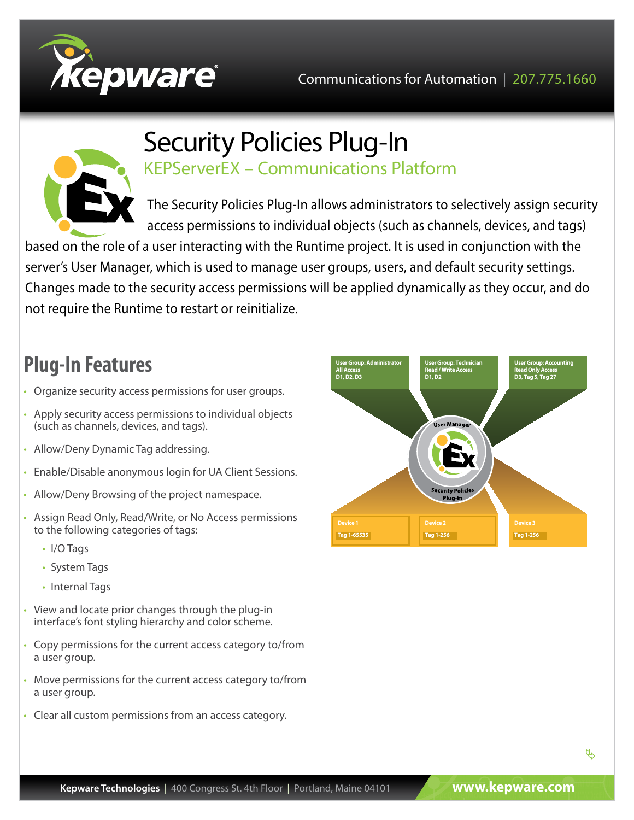



## Security Policies Plug-In KEPServerEX – Communications Platform

The Security Policies Plug-In allows administrators to selectively assign security access permissions to individual objects (such as channels, devices, and tags)

based on the role of a user interacting with the Runtime project. It is used in conjunction with the server's User Manager, which is used to manage user groups, users, and default security settings. Changes made to the security access permissions will be applied dynamically as they occur, and do not require the Runtime to restart or reinitialize.

# **Plug-In Features**

- Organize security access permissions for user groups.
- Apply security access permissions to individual objects (such as channels, devices, and tags).
- Allow/Deny Dynamic Tag addressing.
- Enable/Disable anonymous login for UA Client Sessions.
- Allow/Deny Browsing of the project namespace.
- Assign Read Only, Read/Write, or No Access permissions to the following categories of tags:
	- I/O Tags
	- System Tags
	- Internal Tags
- View and locate prior changes through the plug-in interface's font styling hierarchy and color scheme.
- Copy permissions for the current access category to/from a user group.
- Move permissions for the current access category to/from a user group.
- Clear all custom permissions from an access category.